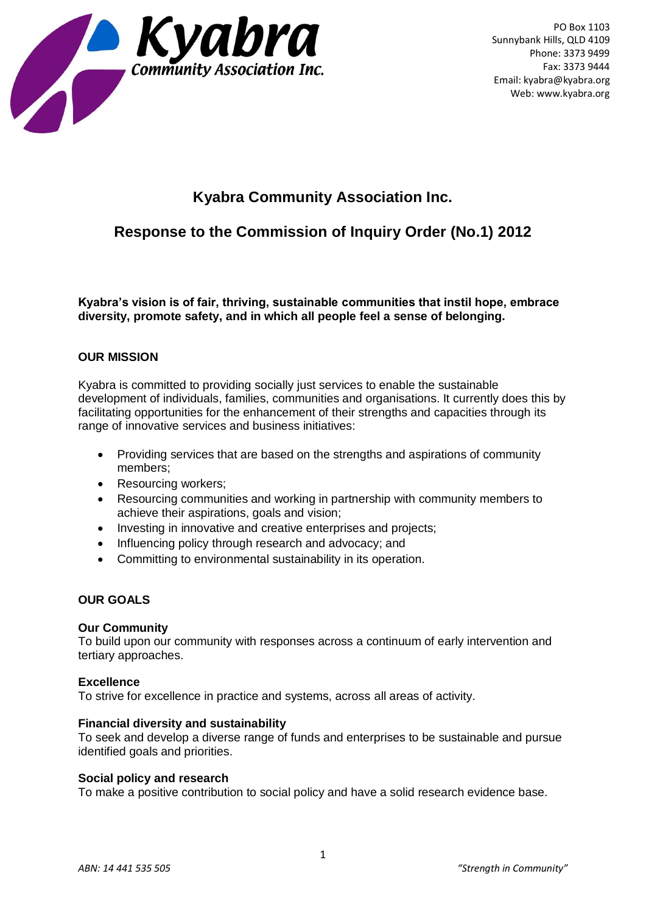

PO Box 1103 Sunnybank Hills, QLD 4109 Phone: 3373 9499 Fax: 3373 9444 Email: kyabra@kyabra.org Web: www.kyabra.org

# **Kyabra Community Association Inc.**

# **Response to the Commission of Inquiry Order (No.1) 2012**

**Kyabra's vision is of fair, thriving, sustainable communities that instil hope, embrace diversity, promote safety, and in which all people feel a sense of belonging.** 

# **OUR MISSION**

Kyabra is committed to providing socially just services to enable the sustainable development of individuals, families, communities and organisations. It currently does this by facilitating opportunities for the enhancement of their strengths and capacities through its range of innovative services and business initiatives:

- Providing services that are based on the strengths and aspirations of community members;
- Resourcing workers;
- Resourcing communities and working in partnership with community members to achieve their aspirations, goals and vision;
- Investing in innovative and creative enterprises and projects;
- Influencing policy through research and advocacy; and
- Committing to environmental sustainability in its operation.

# **OUR GOALS**

#### **Our Community**

To build upon our community with responses across a continuum of early intervention and tertiary approaches.

#### **Excellence**

To strive for excellence in practice and systems, across all areas of activity.

#### **Financial diversity and sustainability**

To seek and develop a diverse range of funds and enterprises to be sustainable and pursue identified goals and priorities.

#### **Social policy and research**

To make a positive contribution to social policy and have a solid research evidence base.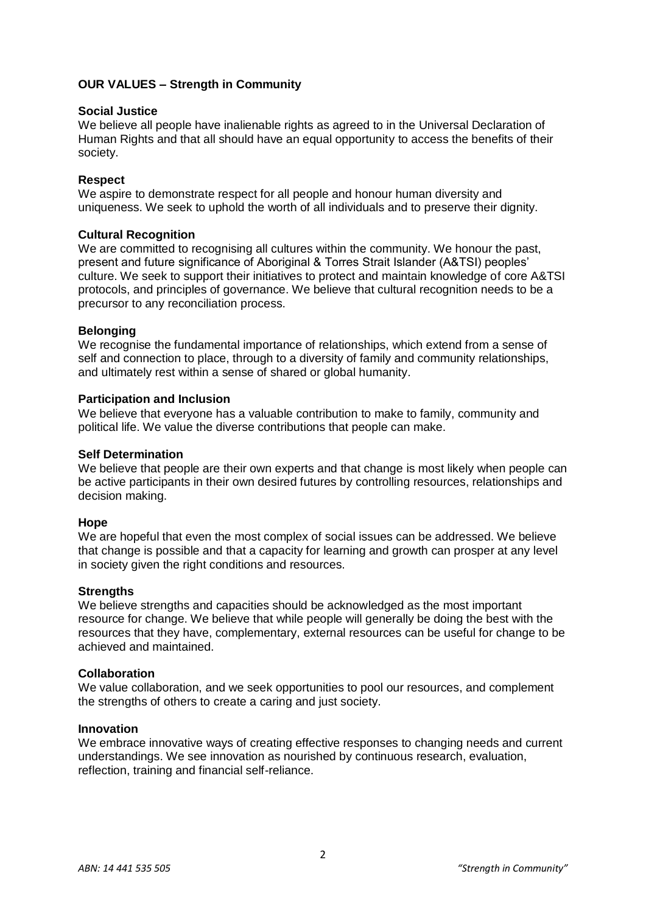# **OUR VALUES – Strength in Community**

### **Social Justice**

We believe all people have inalienable rights as agreed to in the Universal Declaration of Human Rights and that all should have an equal opportunity to access the benefits of their society.

# **Respect**

We aspire to demonstrate respect for all people and honour human diversity and uniqueness. We seek to uphold the worth of all individuals and to preserve their dignity.

# **Cultural Recognition**

We are committed to recognising all cultures within the community. We honour the past, present and future significance of Aboriginal & Torres Strait Islander (A&TSI) peoples' culture. We seek to support their initiatives to protect and maintain knowledge of core A&TSI protocols, and principles of governance. We believe that cultural recognition needs to be a precursor to any reconciliation process.

## **Belonging**

We recognise the fundamental importance of relationships, which extend from a sense of self and connection to place, through to a diversity of family and community relationships, and ultimately rest within a sense of shared or global humanity.

## **Participation and Inclusion**

We believe that everyone has a valuable contribution to make to family, community and political life. We value the diverse contributions that people can make.

## **Self Determination**

We believe that people are their own experts and that change is most likely when people can be active participants in their own desired futures by controlling resources, relationships and decision making.

#### **Hope**

We are hopeful that even the most complex of social issues can be addressed. We believe that change is possible and that a capacity for learning and growth can prosper at any level in society given the right conditions and resources.

#### **Strengths**

We believe strengths and capacities should be acknowledged as the most important resource for change. We believe that while people will generally be doing the best with the resources that they have, complementary, external resources can be useful for change to be achieved and maintained.

#### **Collaboration**

We value collaboration, and we seek opportunities to pool our resources, and complement the strengths of others to create a caring and just society.

#### **Innovation**

We embrace innovative ways of creating effective responses to changing needs and current understandings. We see innovation as nourished by continuous research, evaluation, reflection, training and financial self-reliance.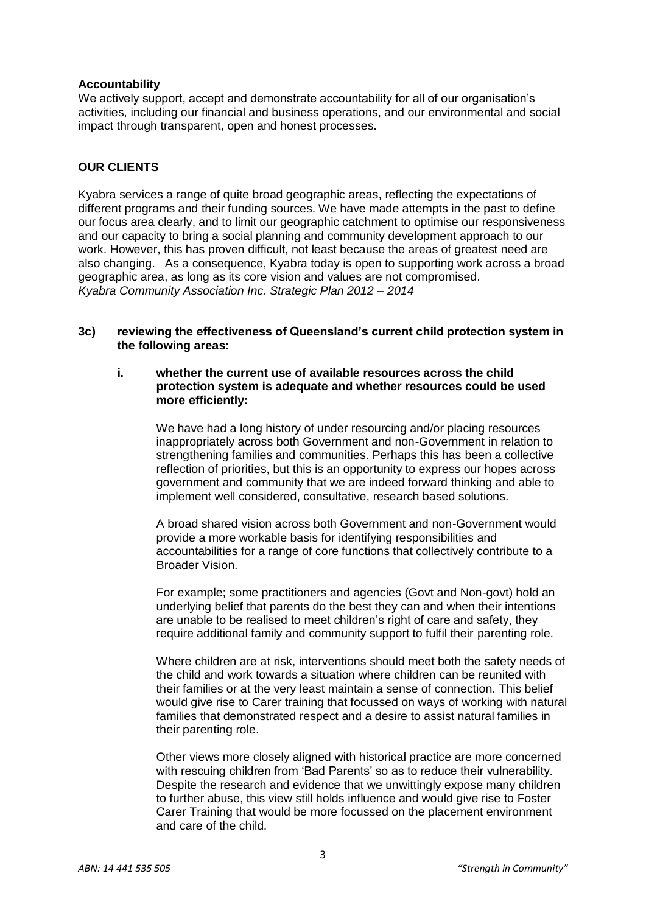## **Accountability**

We actively support, accept and demonstrate accountability for all of our organisation's activities, including our financial and business operations, and our environmental and social impact through transparent, open and honest processes.

## **OUR CLIENTS**

Kyabra services a range of quite broad geographic areas, reflecting the expectations of different programs and their funding sources. We have made attempts in the past to define our focus area clearly, and to limit our geographic catchment to optimise our responsiveness and our capacity to bring a social planning and community development approach to our work. However, this has proven difficult, not least because the areas of greatest need are also changing. As a consequence, Kyabra today is open to supporting work across a broad geographic area, as long as its core vision and values are not compromised. *Kyabra Community Association Inc. Strategic Plan 2012 – 2014* 

## **3c) reviewing the effectiveness of Queensland's current child protection system in the following areas:**

#### **i. whether the current use of available resources across the child protection system is adequate and whether resources could be used more efficiently:**

We have had a long history of under resourcing and/or placing resources inappropriately across both Government and non-Government in relation to strengthening families and communities. Perhaps this has been a collective reflection of priorities, but this is an opportunity to express our hopes across government and community that we are indeed forward thinking and able to implement well considered, consultative, research based solutions.

A broad shared vision across both Government and non-Government would provide a more workable basis for identifying responsibilities and accountabilities for a range of core functions that collectively contribute to a Broader Vision.

For example; some practitioners and agencies (Govt and Non-govt) hold an underlying belief that parents do the best they can and when their intentions are unable to be realised to meet children's right of care and safety, they require additional family and community support to fulfil their parenting role.

Where children are at risk, interventions should meet both the safety needs of the child and work towards a situation where children can be reunited with their families or at the very least maintain a sense of connection. This belief would give rise to Carer training that focussed on ways of working with natural families that demonstrated respect and a desire to assist natural families in their parenting role.

Other views more closely aligned with historical practice are more concerned with rescuing children from 'Bad Parents' so as to reduce their vulnerability. Despite the research and evidence that we unwittingly expose many children to further abuse, this view still holds influence and would give rise to Foster Carer Training that would be more focussed on the placement environment and care of the child.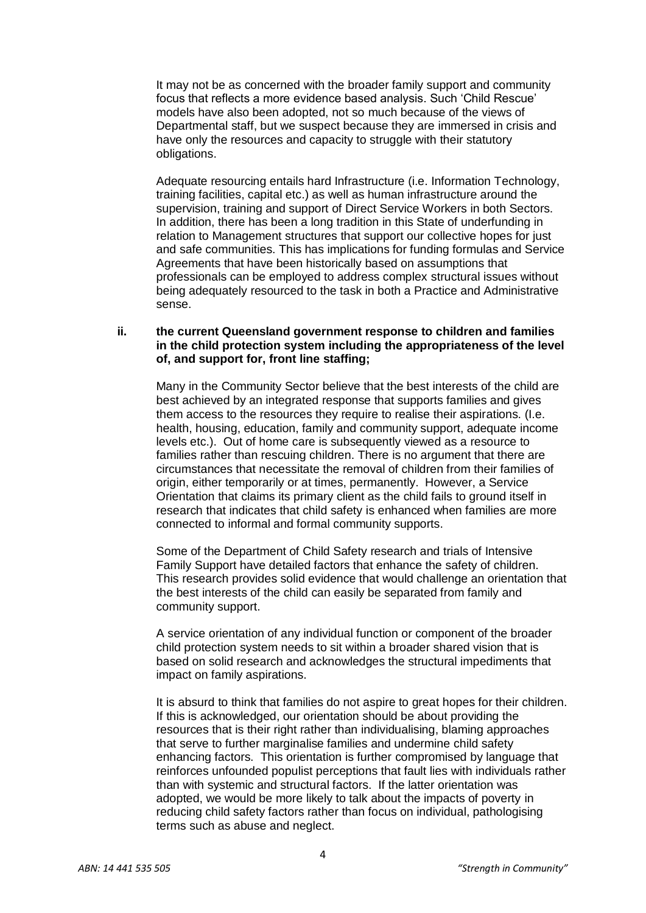It may not be as concerned with the broader family support and community focus that reflects a more evidence based analysis. Such 'Child Rescue' models have also been adopted, not so much because of the views of Departmental staff, but we suspect because they are immersed in crisis and have only the resources and capacity to struggle with their statutory obligations.

Adequate resourcing entails hard Infrastructure (i.e. Information Technology, training facilities, capital etc.) as well as human infrastructure around the supervision, training and support of Direct Service Workers in both Sectors. In addition, there has been a long tradition in this State of underfunding in relation to Management structures that support our collective hopes for just and safe communities. This has implications for funding formulas and Service Agreements that have been historically based on assumptions that professionals can be employed to address complex structural issues without being adequately resourced to the task in both a Practice and Administrative sense.

## **ii. the current Queensland government response to children and families in the child protection system including the appropriateness of the level of, and support for, front line staffing;**

Many in the Community Sector believe that the best interests of the child are best achieved by an integrated response that supports families and gives them access to the resources they require to realise their aspirations. (I.e. health, housing, education, family and community support, adequate income levels etc.). Out of home care is subsequently viewed as a resource to families rather than rescuing children. There is no argument that there are circumstances that necessitate the removal of children from their families of origin, either temporarily or at times, permanently. However, a Service Orientation that claims its primary client as the child fails to ground itself in research that indicates that child safety is enhanced when families are more connected to informal and formal community supports.

Some of the Department of Child Safety research and trials of Intensive Family Support have detailed factors that enhance the safety of children. This research provides solid evidence that would challenge an orientation that the best interests of the child can easily be separated from family and community support.

A service orientation of any individual function or component of the broader child protection system needs to sit within a broader shared vision that is based on solid research and acknowledges the structural impediments that impact on family aspirations.

It is absurd to think that families do not aspire to great hopes for their children. If this is acknowledged, our orientation should be about providing the resources that is their right rather than individualising, blaming approaches that serve to further marginalise families and undermine child safety enhancing factors. This orientation is further compromised by language that reinforces unfounded populist perceptions that fault lies with individuals rather than with systemic and structural factors. If the latter orientation was adopted, we would be more likely to talk about the impacts of poverty in reducing child safety factors rather than focus on individual, pathologising terms such as abuse and neglect.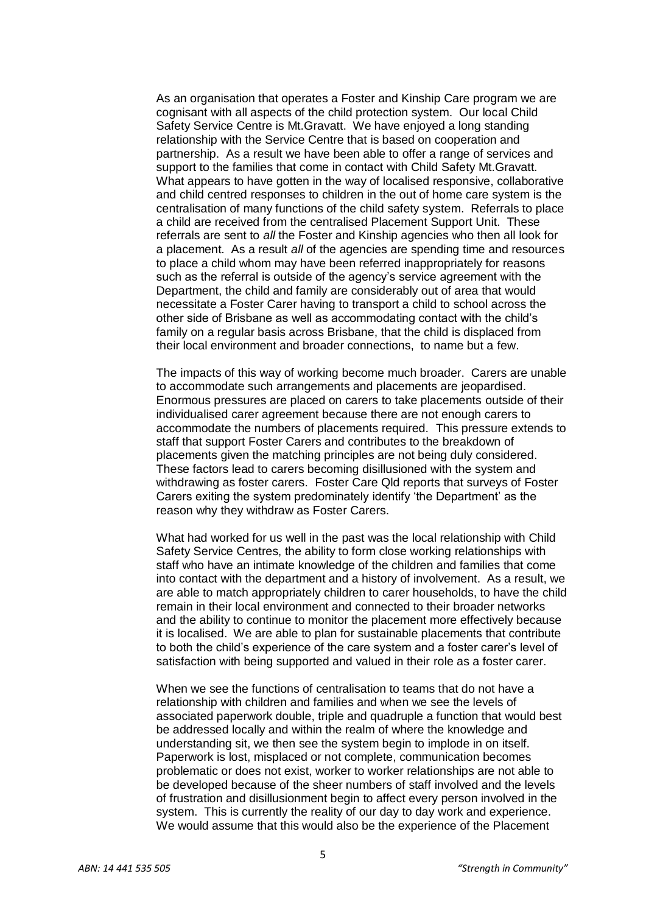As an organisation that operates a Foster and Kinship Care program we are cognisant with all aspects of the child protection system. Our local Child Safety Service Centre is Mt.Gravatt. We have enjoyed a long standing relationship with the Service Centre that is based on cooperation and partnership. As a result we have been able to offer a range of services and support to the families that come in contact with Child Safety Mt.Gravatt. What appears to have gotten in the way of localised responsive, collaborative and child centred responses to children in the out of home care system is the centralisation of many functions of the child safety system. Referrals to place a child are received from the centralised Placement Support Unit. These referrals are sent to *all* the Foster and Kinship agencies who then all look for a placement. As a result *all* of the agencies are spending time and resources to place a child whom may have been referred inappropriately for reasons such as the referral is outside of the agency's service agreement with the Department, the child and family are considerably out of area that would necessitate a Foster Carer having to transport a child to school across the other side of Brisbane as well as accommodating contact with the child's family on a regular basis across Brisbane, that the child is displaced from their local environment and broader connections, to name but a few.

The impacts of this way of working become much broader. Carers are unable to accommodate such arrangements and placements are jeopardised. Enormous pressures are placed on carers to take placements outside of their individualised carer agreement because there are not enough carers to accommodate the numbers of placements required. This pressure extends to staff that support Foster Carers and contributes to the breakdown of placements given the matching principles are not being duly considered. These factors lead to carers becoming disillusioned with the system and withdrawing as foster carers. Foster Care Qld reports that surveys of Foster Carers exiting the system predominately identify 'the Department' as the reason why they withdraw as Foster Carers.

What had worked for us well in the past was the local relationship with Child Safety Service Centres, the ability to form close working relationships with staff who have an intimate knowledge of the children and families that come into contact with the department and a history of involvement. As a result, we are able to match appropriately children to carer households, to have the child remain in their local environment and connected to their broader networks and the ability to continue to monitor the placement more effectively because it is localised. We are able to plan for sustainable placements that contribute to both the child's experience of the care system and a foster carer's level of satisfaction with being supported and valued in their role as a foster carer.

When we see the functions of centralisation to teams that do not have a relationship with children and families and when we see the levels of associated paperwork double, triple and quadruple a function that would best be addressed locally and within the realm of where the knowledge and understanding sit, we then see the system begin to implode in on itself. Paperwork is lost, misplaced or not complete, communication becomes problematic or does not exist, worker to worker relationships are not able to be developed because of the sheer numbers of staff involved and the levels of frustration and disillusionment begin to affect every person involved in the system. This is currently the reality of our day to day work and experience. We would assume that this would also be the experience of the Placement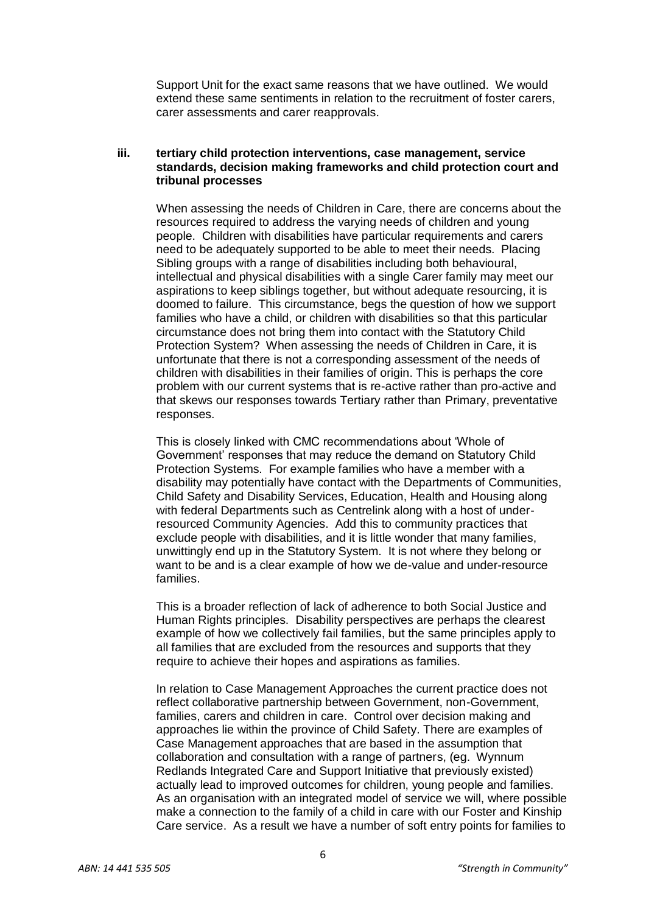Support Unit for the exact same reasons that we have outlined. We would extend these same sentiments in relation to the recruitment of foster carers, carer assessments and carer reapprovals.

#### **iii. tertiary child protection interventions, case management, service standards, decision making frameworks and child protection court and tribunal processes**

When assessing the needs of Children in Care, there are concerns about the resources required to address the varying needs of children and young people. Children with disabilities have particular requirements and carers need to be adequately supported to be able to meet their needs. Placing Sibling groups with a range of disabilities including both behavioural, intellectual and physical disabilities with a single Carer family may meet our aspirations to keep siblings together, but without adequate resourcing, it is doomed to failure. This circumstance, begs the question of how we support families who have a child, or children with disabilities so that this particular circumstance does not bring them into contact with the Statutory Child Protection System? When assessing the needs of Children in Care, it is unfortunate that there is not a corresponding assessment of the needs of children with disabilities in their families of origin. This is perhaps the core problem with our current systems that is re-active rather than pro-active and that skews our responses towards Tertiary rather than Primary, preventative responses.

This is closely linked with CMC recommendations about 'Whole of Government' responses that may reduce the demand on Statutory Child Protection Systems. For example families who have a member with a disability may potentially have contact with the Departments of Communities, Child Safety and Disability Services, Education, Health and Housing along with federal Departments such as Centrelink along with a host of underresourced Community Agencies. Add this to community practices that exclude people with disabilities, and it is little wonder that many families, unwittingly end up in the Statutory System. It is not where they belong or want to be and is a clear example of how we de-value and under-resource families.

This is a broader reflection of lack of adherence to both Social Justice and Human Rights principles. Disability perspectives are perhaps the clearest example of how we collectively fail families, but the same principles apply to all families that are excluded from the resources and supports that they require to achieve their hopes and aspirations as families.

In relation to Case Management Approaches the current practice does not reflect collaborative partnership between Government, non-Government, families, carers and children in care. Control over decision making and approaches lie within the province of Child Safety. There are examples of Case Management approaches that are based in the assumption that collaboration and consultation with a range of partners, (eg. Wynnum Redlands Integrated Care and Support Initiative that previously existed) actually lead to improved outcomes for children, young people and families. As an organisation with an integrated model of service we will, where possible make a connection to the family of a child in care with our Foster and Kinship Care service. As a result we have a number of soft entry points for families to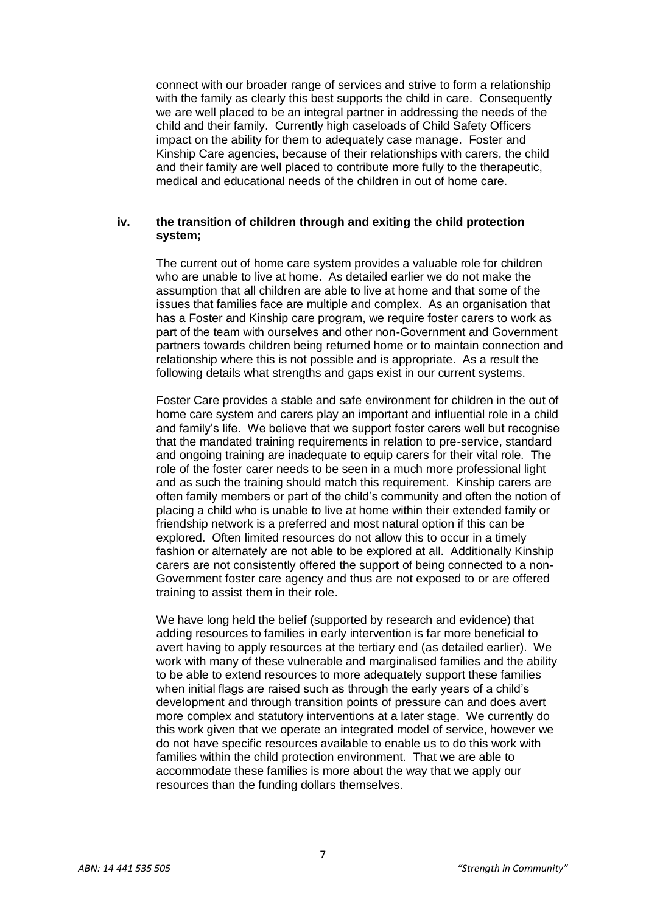connect with our broader range of services and strive to form a relationship with the family as clearly this best supports the child in care. Consequently we are well placed to be an integral partner in addressing the needs of the child and their family. Currently high caseloads of Child Safety Officers impact on the ability for them to adequately case manage. Foster and Kinship Care agencies, because of their relationships with carers, the child and their family are well placed to contribute more fully to the therapeutic, medical and educational needs of the children in out of home care.

#### **iv. the transition of children through and exiting the child protection system;**

The current out of home care system provides a valuable role for children who are unable to live at home. As detailed earlier we do not make the assumption that all children are able to live at home and that some of the issues that families face are multiple and complex. As an organisation that has a Foster and Kinship care program, we require foster carers to work as part of the team with ourselves and other non-Government and Government partners towards children being returned home or to maintain connection and relationship where this is not possible and is appropriate. As a result the following details what strengths and gaps exist in our current systems.

Foster Care provides a stable and safe environment for children in the out of home care system and carers play an important and influential role in a child and family's life. We believe that we support foster carers well but recognise that the mandated training requirements in relation to pre-service, standard and ongoing training are inadequate to equip carers for their vital role. The role of the foster carer needs to be seen in a much more professional light and as such the training should match this requirement. Kinship carers are often family members or part of the child's community and often the notion of placing a child who is unable to live at home within their extended family or friendship network is a preferred and most natural option if this can be explored. Often limited resources do not allow this to occur in a timely fashion or alternately are not able to be explored at all. Additionally Kinship carers are not consistently offered the support of being connected to a non-Government foster care agency and thus are not exposed to or are offered training to assist them in their role.

We have long held the belief (supported by research and evidence) that adding resources to families in early intervention is far more beneficial to avert having to apply resources at the tertiary end (as detailed earlier). We work with many of these vulnerable and marginalised families and the ability to be able to extend resources to more adequately support these families when initial flags are raised such as through the early years of a child's development and through transition points of pressure can and does avert more complex and statutory interventions at a later stage. We currently do this work given that we operate an integrated model of service, however we do not have specific resources available to enable us to do this work with families within the child protection environment. That we are able to accommodate these families is more about the way that we apply our resources than the funding dollars themselves.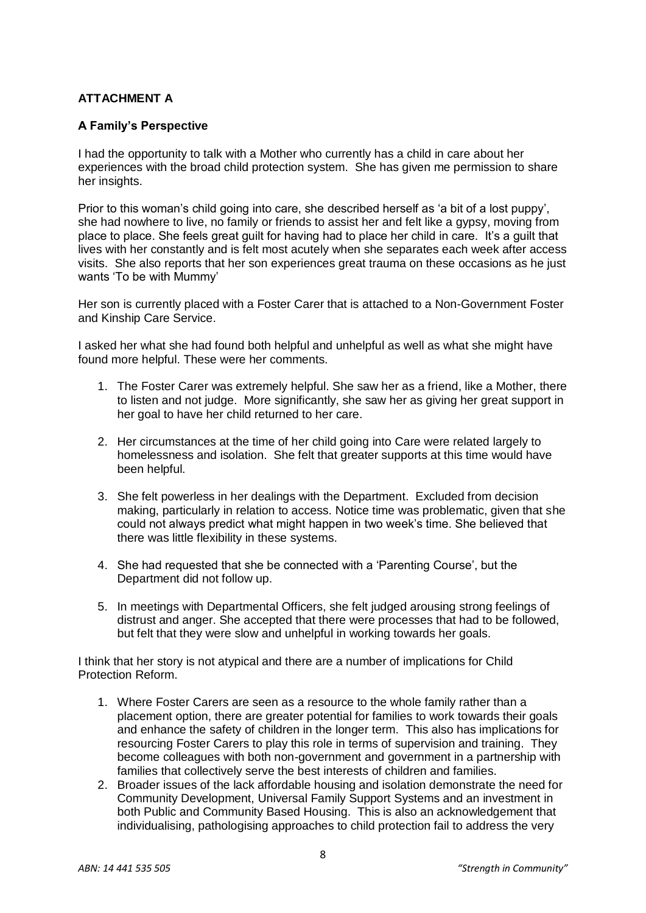# **ATTACHMENT A**

# **A Family's Perspective**

I had the opportunity to talk with a Mother who currently has a child in care about her experiences with the broad child protection system. She has given me permission to share her insights.

Prior to this woman's child going into care, she described herself as 'a bit of a lost puppy', she had nowhere to live, no family or friends to assist her and felt like a gypsy, moving from place to place. She feels great guilt for having had to place her child in care. It's a guilt that lives with her constantly and is felt most acutely when she separates each week after access visits. She also reports that her son experiences great trauma on these occasions as he just wants 'To be with Mummy'

Her son is currently placed with a Foster Carer that is attached to a Non-Government Foster and Kinship Care Service.

I asked her what she had found both helpful and unhelpful as well as what she might have found more helpful. These were her comments.

- 1. The Foster Carer was extremely helpful. She saw her as a friend, like a Mother, there to listen and not judge. More significantly, she saw her as giving her great support in her goal to have her child returned to her care.
- 2. Her circumstances at the time of her child going into Care were related largely to homelessness and isolation. She felt that greater supports at this time would have been helpful.
- 3. She felt powerless in her dealings with the Department. Excluded from decision making, particularly in relation to access. Notice time was problematic, given that she could not always predict what might happen in two week's time. She believed that there was little flexibility in these systems.
- 4. She had requested that she be connected with a 'Parenting Course', but the Department did not follow up.
- 5. In meetings with Departmental Officers, she felt judged arousing strong feelings of distrust and anger. She accepted that there were processes that had to be followed, but felt that they were slow and unhelpful in working towards her goals.

I think that her story is not atypical and there are a number of implications for Child Protection Reform.

- 1. Where Foster Carers are seen as a resource to the whole family rather than a placement option, there are greater potential for families to work towards their goals and enhance the safety of children in the longer term. This also has implications for resourcing Foster Carers to play this role in terms of supervision and training. They become colleagues with both non-government and government in a partnership with families that collectively serve the best interests of children and families.
- 2. Broader issues of the lack affordable housing and isolation demonstrate the need for Community Development, Universal Family Support Systems and an investment in both Public and Community Based Housing. This is also an acknowledgement that individualising, pathologising approaches to child protection fail to address the very